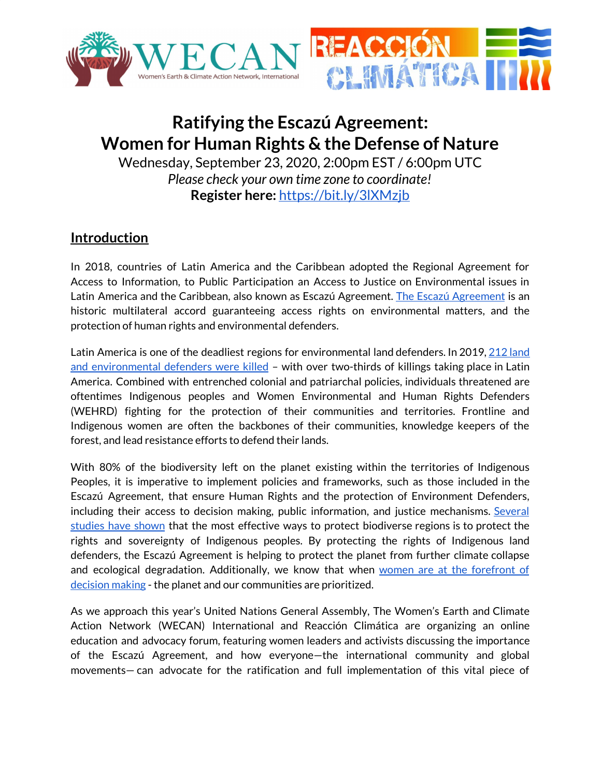

# **Ratifying the Escazú Agreement: Women for Human Rights & the Defense of Nature**

Wednesday, September 23, 2020, 2:00pm EST / 6:00pm UTC *Please check your own time zone to coordinate!* **Register here:** <https://bit.ly/3lXMzjb>

#### **Introduction**

In 2018, countries of Latin America and the Caribbean adopted the Regional Agreement for Access to Information, to Public Participation an Access to Justice on Environmental issues in Latin America and the Caribbean, also known as Escazú [Agreement](https://www.cepal.org/en/escazuagreement). The Escazú Agreement is an historic multilateral accord guaranteeing access rights on environmental matters, and the protection of human rights and environmental defenders.

Latin America is one of the deadliest regions for environmental land defenders. In 2019, 212 [land](https://www.globalwitness.org/en/campaigns/environmental-activists/defending-tomorrow/) and [environmental](https://www.globalwitness.org/en/campaigns/environmental-activists/defending-tomorrow/) defenders were killed - with over two-thirds of killings taking place in Latin America. Combined with entrenched colonial and patriarchal policies, individuals threatened are oftentimes Indigenous peoples and Women Environmental and Human Rights Defenders (WEHRD) fighting for the protection of their communities and territories. Frontline and Indigenous women are often the backbones of their communities, knowledge keepers of the forest, and lead resistance efforts to defend their lands.

With 80% of the biodiversity left on the planet existing within the territories of Indigenous Peoples, it is imperative to implement policies and frameworks, such as those included in the Escazú Agreement, that ensure Human Rights and the protection of Environment Defenders, including their access to decision making, public information, and justice mechanisms. [Several](https://news.mongabay.com/2020/08/indigenous-best-amazon-stewards-but-only-when-property-rights-assured-study/) [studies](https://news.mongabay.com/2020/08/indigenous-best-amazon-stewards-but-only-when-property-rights-assured-study/) have shown that the most effective ways to protect biodiverse regions is to protect the rights and sovereignty of Indigenous peoples. By protecting the rights of Indigenous land defenders, the Escazú Agreement is helping to protect the planet from further climate collapse and ecological degradation. Additionally, we know that when women are at the [forefront](https://pages.uoregon.edu/norgaard/pdf/Gender-Equality-Norgaard-York-2005.pdf) of [decision](https://pages.uoregon.edu/norgaard/pdf/Gender-Equality-Norgaard-York-2005.pdf) making - the planet and our communities are prioritized.

As we approach this year's United Nations General Assembly, The Women's Earth and Climate Action Network (WECAN) International and Reacción Climática are organizing an online education and advocacy forum, featuring women leaders and activists discussing the importance of the Escazú Agreement, and how everyone—the international community and global movements— can advocate for the ratification and full implementation of this vital piece of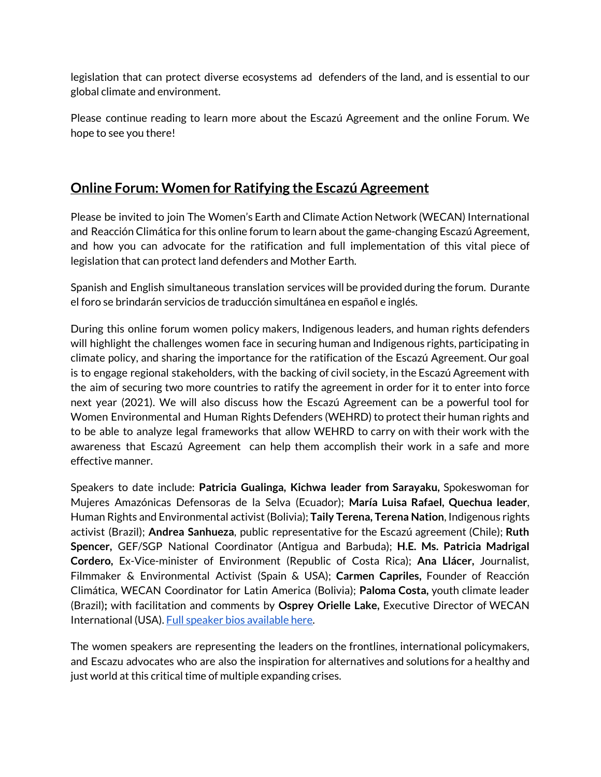legislation that can protect diverse ecosystems ad defenders of the land, and is essential to our global climate and environment.

Please continue reading to learn more about the Escazú Agreement and the online Forum. We hope to see you there!

### **Online Forum: Women for Ratifying the Escazú Agreement**

Please be invited to join The Women's Earth and Climate Action Network (WECAN) International and Reacción Climática for this online forum to learn about the game-changing Escazú Agreement, and how you can advocate for the ratification and full implementation of this vital piece of legislation that can protect land defenders and Mother Earth.

Spanish and English simultaneous translation services will be provided during the forum. Durante el foro se brindarán servicios de traducción simultánea en español e inglés.

During this online forum women policy makers, Indigenous leaders, and human rights defenders will highlight the challenges women face in securing human and Indigenous rights, participating in climate policy, and sharing the importance for the ratification of the Escazú Agreement. Our goal is to engage regional stakeholders, with the backing of civil society, in the Escazú Agreement with the aim of securing two more countries to ratify the agreement in order for it to enter into force next year (2021). We will also discuss how the Escazú Agreement can be a powerful tool for Women Environmental and Human Rights Defenders (WEHRD) to protect their human rights and to be able to analyze legal frameworks that allow WEHRD to carry on with their work with the awareness that Escazú Agreement can help them accomplish their work in a safe and more effective manner.

Speakers to date include: **Patricia Gualinga, Kichwa leader from Sarayaku,** Spokeswoman for Mujeres Amazónicas Defensoras de la Selva (Ecuador); **María Luisa Rafael, Quechua leader**, Human Rights and Environmental activist (Bolivia); **Taily Terena, Terena Nation**, Indigenous rights activist (Brazil); **Andrea Sanhueza**, public representative for the Escazú agreement (Chile); **Ruth Spencer,** GEF/SGP National Coordinator (Antigua and Barbuda); **H.E. Ms. Patricia Madrigal Cordero,** Ex-Vice-minister of Environment (Republic of Costa Rica); **Ana Llácer,** Journalist, Filmmaker & Environmental Activist (Spain & USA); **Carmen Capriles,** Founder of Reacción Climática, WECAN Coordinator for Latin America (Bolivia); **Paloma Costa,** youth climate leader (Brazil)**;** with facilitation and comments by **Osprey Orielle Lake,** Executive Director of WECAN International (USA). Full speaker bios [available](https://d99d2e8d-06c9-433b-915d-f6e381b1acd4.usrfiles.com/ugd/d99d2e_da689073008540d3a3cf78e2fa4e07ba.pdf) here.

The women speakers are representing the leaders on the frontlines, international policymakers, and Escazu advocates who are also the inspiration for alternatives and solutions for a healthy and just world at this critical time of multiple expanding crises.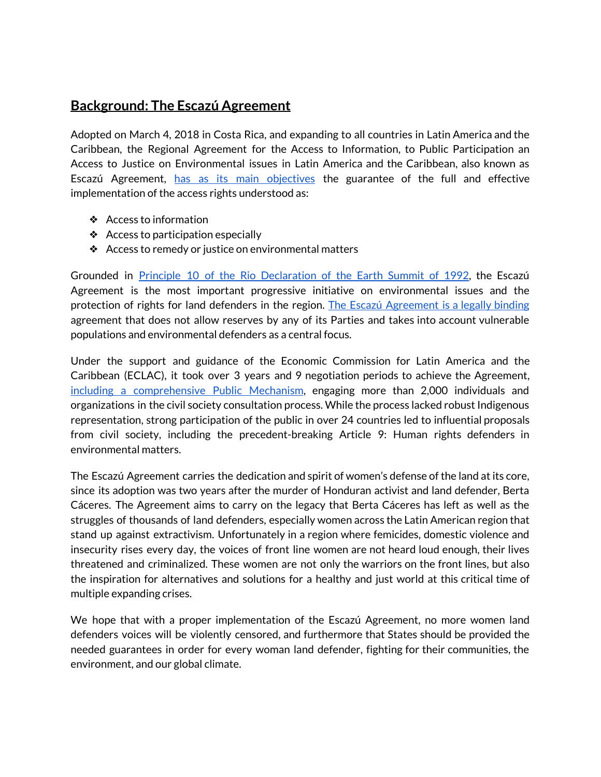#### **Background: The Escazú Agreement**

Adopted on March 4, 2018 in Costa Rica, and expanding to all countries in Latin America and the Caribbean, the Regional Agreement for the Access to Information, to Public Participation an Access to Justice on Environmental issues in Latin America and the Caribbean, also known as Escazú Agreement, has as its main [objectives](https://treaties.un.org/doc/Treaties/2018/03/20180312%2003-04%20PM/CTC-XXVII-18.pdf) the guarantee of the full and effective implementation of the access rights understood as:

- ❖ Access to information
- ❖ Access to participation especially
- ❖ Access to remedy or justice on environmental matters

Grounded in Principle 10 of the Rio [Declaration](https://www.unenvironment.org/news-and-stories/story/unep-implementing-principle-10-rio-declaration#:~:text=In%201992%20the%20Rio%20Declaration,citizens%2C%20at%20the%20relevant%20level.&text=States%20shall%20facilitate%20and%20encourage,by%20making%20information%20widely%20available.) of the Earth Summit of 1992, the Escazú Agreement is the most important progressive initiative on environmental issues and the protection of rights for land defenders in the region. The Escazú [Agreement](https://www.iucn.org/news/commission-environmental-economic-and-social-policy/201804/latin-america-and-caribbean-adopt-historical-legally-binding-agreement-protection-environmental-rights) is a legally binding agreement that does not allow reserves by any of its Parties and takes into account vulnerable populations and environmental defenders as a central focus.

Under the support and guidance of the Economic Commission for Latin America and the Caribbean (ECLAC), it took over 3 years and 9 negotiation periods to achieve the Agreement, including a [comprehensive](https://www.civicus.org/index.php/es/component/tags/tag/escazu-agreement) Public Mechanism, engaging more than 2,000 individuals and organizations in the civil society consultation process. While the process lacked robust Indigenous representation, strong participation of the public in over 24 countries led to influential proposals from civil society, including the precedent-breaking Article 9: Human rights defenders in environmental matters.

The Escazú Agreement carries the dedication and spirit of women's defense of the land at its core, since its adoption was two years after the murder of Honduran activist and land defender, Berta Cáceres. The Agreement aims to carry on the legacy that Berta Cáceres has left as well as the struggles of thousands of land defenders, especially women across the Latin American region that stand up against extractivism. Unfortunately in a region where femicides, domestic violence and insecurity rises every day, the voices of front line women are not heard loud enough, their lives threatened and criminalized. These women are not only the warriors on the front lines, but also the inspiration for alternatives and solutions for a healthy and just world at this critical time of multiple expanding crises.

We hope that with a proper implementation of the Escazú Agreement, no more women land defenders voices will be violently censored, and furthermore that States should be provided the needed guarantees in order for every woman land defender, fighting for their communities, the environment, and our global climate.